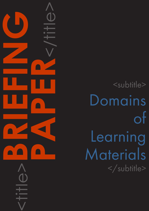<subtitle> Domains of Learning Materials </subtitle>

<title>**BRIEFING**

**PAPER**<br>CONSTRAINS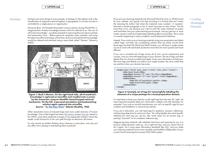```
ok time="3 hours">
```
 $\text{ir}$  $\frac{1}{2}$  >Yeast</**ingredient**>...

er.</**step**>

### CAPDM Ltd. CAPDM Ltd.

Domains Domains are many things to many people. In biology it's the highest rank in the classification of organisms above kingdom. In geography it's an area owned or controlled by a single person or organisation.

Vannevar Bush, US President Roosevelt's science advisor during World War 2, imagined that a holistic knowledge domain which he referred to as "*the sum of all human knowledge*", would be essential to improving the way future scientists and researchers work. Before personal computers were invented, and using the latest microfilm technology of that time, Bush envisioned that this knowledge would be indexed and retrieved using a smart desk called "Memex" (Memory IndEX).



**Creating Meaningful** Domains

Figure 1: Bush's Memex. On the right hand-side, all of mankind's knowledge is captured on microfilm and recalled onto a screen by the researcher using an Identifier based keypad retrieval mechanism. On the left, a personal annotation and bookmarking solution again captured into microfilm. Source: "[As We May Think"](http://www.theatlantic.com/doc/194507/bush) Atlantic Monthly, 1945

Other researchers have envisioned large and more useful domains of human knowledge. One of the largest has been [Ted Nelson](http://en.wikipedia.org/wiki/Ted_Nelson) project [Xanadu](http://www.xanadu.com/) started in the 1960's, and which explored concepts in non-sequential writing in which the reader could choose his or her own path through an electronic document.

So why should we bother thinking about domains in education, and why put any effort into creating or maintaining them ourselves?

If you put your learning materials into Microsoft Word for print, or HTML format for your website, you spend a lot time encoding it in formats that can't retain the meaning the author had when the materials were created. A 'question' becomes a dumb paragraph or list. A 'mark' becomes an item of text. Do this more than once, say because you want to print the same materials on paper and load them into your online learning environment, and you get two or more master versions and lots of duplicated publishing effort around them. This is what is currently happening in many academic and professional institutions.

Instead, if you mark up your learning materials using non-proprietary text labels called 'tags', and then use a publishing solution that can easily convert from those tags into both MS Word and Web formats, you will have a single master source to work with and batch production tools that are much quicker and more efficient.

If you use a consistent set of tags across all of your course components and courses, and you have the beginnings of your domain. The set of tags and their details that you choose to adopt and apply, forms your information architecture. The more tags and details you add to your single masters, the more useful they are and the richer your domain becomes.

#### Figure 2: Example set of tags for meaningfully labelling the elements of a recipe perhaps for a food preparation domain

It is important to base your domain on the right tags from the start. By 'right' we mean tags that properly label your information usefully and with meaning. For example, if you are an aircraft manufacturer you will use specific tags for part numbers and installation or removal procedures.

If you are in education, you will need tags for questions, answers, references, and learning objectives to name just a few. You will probably also need specific attributes for each tag you use too, like 'mark value' for an answer tag, or perhaps 'Harvard' for an academic reference tag

Tagging learning materials with attributes that have real meaning for you is a process called semantic mark-up. Do it right first time, and you never have to do it again. Do it using open information standards like [XML](http://www.w3.org/XML/), and you make your learning materials much more reusable and healthily independent of your current Virtual Learning Environment (VLE/LMS) system.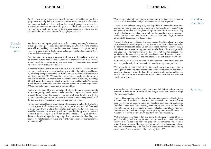## CAPDM Ltd. CAPDM Ltd.

# Domain Management

By all means use someone else's tags if they mean something to you. Such 'plagiarism' actually helps to improve interoperability and ease information exchange, particularly if it comes from like minded communities of practice. In education, there are many sets of tags you could adopt for the industry, but very few are actually any good for basing your domain on. Many are too complicated or have been created for a single process only.

We have touched upon good reasons for creating meaningful domains, including capturing your knowledge semantically for future reuse, and enabling more efficient working practices that save time, money and improve quality. There is no point in doing this however, unless you maintain the investment you have made in creating your domain.

Domains need to be kept up-to-date and cherished by authors as well as developers. Authors need to work in whatever format they can be most creative in, and usually that means a Word processor format. How can this be achieved when the domain is tagged up in XML?

In practice this turns out to be less of an issue that most think. Many edits and changes are already accommodated today in traditional publishing workflows, by submitting changes as marked-up drafts in print or electronically in Microsoft Word or annotated PDF. With careful preparation, this works equally well with XML based domains. In cases where substantial edits are required, outputting RTF/MS Word documents from the XML masters and tracking author's changes in MS Word usually works, and often the bulk of the new content capture into XML can be automated if templates are adopted first.

The key point to note with re-authoring though is that a domain of materials needs to be managed by developers who will ensure the changes don't invalidate all products to come form the domain – not just print ones. In other words, the authors are no longer the sole stakeholder involved in maintaining the value of the domain, and in managing its ongoing use and improvement.

For large domains of learning materials, perhaps comprising hundreds of online courses, a team of information/learning support specialists is required. They need to be equipped with a relevant information architecture to start with; semantic tools like [Courseworker](http://www.courseworker.com/) to develop with; and trained and supported to use them to cherish and develop your own domain of knowledge. You probably have this team already – it's just that they are probably very busy hand crafting your courses multiple times in MS Word and HTML/web formats for imprisonment in your current VLE.

We all have a bit of a legacy burden to overcome when it comes to passing on "the sum of all human knowledge" as Vannevar Bush has requested.

Much of our knowledge today is by and large held in lamentably poor forms and formats. People come and go in more ways than one. Papyrus doesn't scale and neither do tablets and songlines, though I'd quite like to see us try scaling the latter. Printed matter fades, rots, gets burned by accidents at work or singleminded despots. In truth, the forces of chaos and information degradation are alive and still destroying knowledge today.

You might be forgiven for thinking that computers and the Internet are the solution too, and they are, but only in part, and not how we have them implemented today. The constant process of backing up computer based information continuously to cost efficient storage media, requires constant refreshment of the storage media and adoption of new more efficient media. This is not a certain process either but it is better than what has gone before and the Internet does now allow us to globally distribute tacit knowledge and information assets around the World.

The trouble is, what we are backing up and inheriting in the future, generally isn't very good quality. It isn't semantic. It's usually poorly managed if at all.

We have a shared responsibility to get the knowledge we are responsible for creating and maintaining into a healthy state – semantically marked-up with nonproprietary information standards and in a consistent information architecture. If we all sort out our own information assets semantically, the sum of human knowledge will gain.

More and more institutions are beginning to see that their domain of learning materials is held to be *a body of knowledge disciplined under a single information architecture*.

Creating it takes collaborative effort, and an ongoing commitment to cherishing both the materials and their architecture. The most useful domains are flexible ones, which can be used to satisfy any teaching and learning application. Flexibility comes most from adopting international standards to format the information openly and with useful meaning. Adopting international standards liberates your domain from having to use proprietary vendors and formats, and imbues your learning materials with long-term value and reusability.

Well architected knowledge domains bring the strategic rewards of higher quality teaching and learning experiences, produced and maintained more easily and at less cost than traditional preparation approaches. They increase stakeholder value by establishing tangible assets which can be secured, shared and exploited for the long term. They are a necessary part of the future learning environments Bush envisioned in 1945, and again in 1959:

## Shared Responsibility

## **Summary**